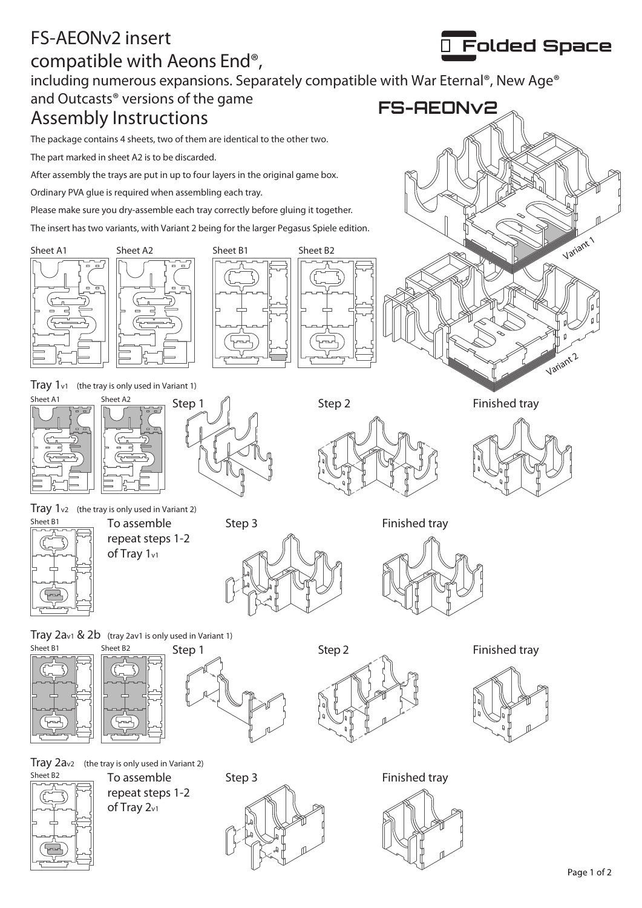## FS-AEONv2 insert compatible with Aeons End®,

including numerous expansions. Separately compatible with War Eternal®, New Age®

## Assembly Instructions and Outcasts® versions of the game

The package contains 4 sheets, two of them are identical to the other two.

The part marked in sheet A2 is to be discarded.

After assembly the trays are put in up to four layers in the original game box.

Ordinary PVA glue is required when assembling each tray.

Please make sure you dry-assemble each tray correctly before gluing it together.

The insert has two variants, with Variant 2 being for the larger Pegasus Spiele edition.







**FS-AEONv2**









Folded Space

Variant 1

Variant 2

Tray  $1<sub>v2</sub>$  (the tray is only used in Variant 2)



To assemble repeat steps 1-2 of Tray 1<sub>v1</sub>



Finished tray











 $\frac{\text{Sheet } B2}{\text{Be} \times \text{Be} \times \text{Be} \times \text{Be}}$  To assemble Step 3 repeat steps 1-2 of Tray 2v1



Finished tray



Step 1 Step 2 Step 2 Finished tray